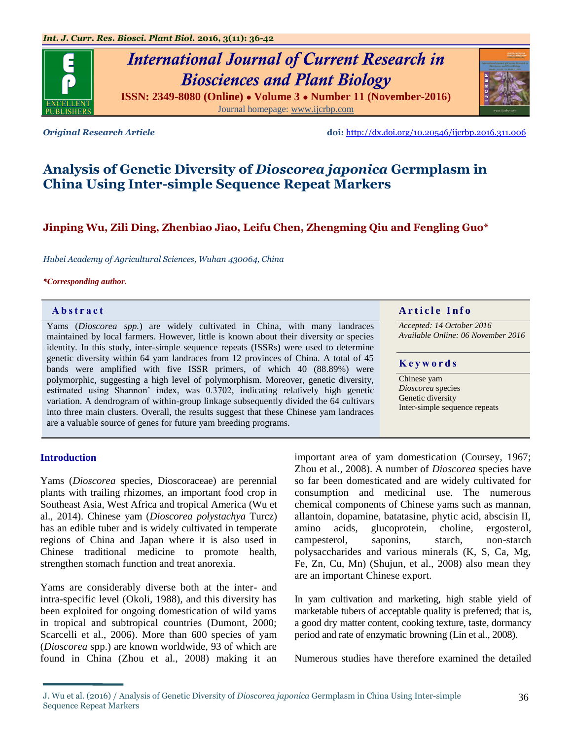# *International Journal of Current Research in Biosciences and Plant Biology*

**ISSN: 2349-8080 (Online) ● Volume 3 ● Number 11 (November-2016)** Journal homepage: [www.ijcrbp.com](http://www.ijcrbp.com/)



*Original Research Article* **doi:** <http://dx.doi.org/10.20546/ijcrbp.2016.311.006>

## **Analysis of Genetic Diversity of** *Dioscorea japonica* **Germplasm in China Using Inter-simple Sequence Repeat Markers**

### **Jinping Wu, Zili Ding, Zhenbiao Jiao, Leifu Chen, Zhengming Qiu and Fengling Guo\***

*Hubei Academy of Agricultural Sciences, Wuhan 430064, China*

#### *\*Corresponding author.*

Yams (*Dioscorea spp.*) are widely cultivated in China, with many landraces maintained by local farmers. However, little is known about their diversity or species identity. In this study, inter-simple sequence repeats (ISSRs) were used to determine genetic diversity within 64 yam landraces from 12 provinces of China. A total of 45 bands were amplified with five ISSR primers, of which 40 (88.89%) were polymorphic, suggesting a high level of polymorphism. Moreover, genetic diversity, estimated using Shannon' index, was 0.3702, indicating relatively high genetic variation. A dendrogram of within-group linkage subsequently divided the 64 cultivars into three main clusters. Overall, the results suggest that these Chinese yam landraces are a valuable source of genes for future yam breeding programs.

#### **Abstract And a result of the Info Article Info**

*Accepted: 14 October 2016 Available Online: 06 November 2016*

#### **K e y w o r d s**

Chinese yam *Dioscorea* species Genetic diversity Inter-simple sequence repeats

#### **Introduction**

Yams (*Dioscorea* species, Dioscoraceae) are perennial plants with trailing rhizomes, an important food crop in Southeast Asia, West Africa and tropical America (Wu et al., 2014). Chinese yam (*Dioscorea polystachya* Turcz) has an edible tuber and is widely cultivated in temperate regions of China and Japan where it is also used in Chinese traditional medicine to promote health, strengthen stomach function and treat anorexia.

Yams are considerably diverse both at the inter- and intra-specific level (Okoli, 1988), and this diversity has been exploited for ongoing domestication of wild yams in tropical and subtropical countries (Dumont, 2000; Scarcelli et al., 2006). More than 600 species of yam (*Dioscorea* spp.) are known worldwide, 93 of which are found in China (Zhou et al., 2008) making it an important area of yam domestication (Coursey, 1967; Zhou et al., 2008). A number of *Dioscorea* species have so far been domesticated and are widely cultivated for consumption and medicinal use. The numerous chemical components of Chinese yams such as mannan, allantoin, dopamine, batatasine, phytic acid, abscisin II, amino acids, glucoprotein, choline, ergosterol, campesterol, saponins, starch, non-starch polysaccharides and various minerals (K, S, Ca, Mg, Fe, Zn, Cu, Mn) (Shujun, et al., 2008) also mean they are an important Chinese export.

In yam cultivation and marketing, high stable yield of marketable tubers of acceptable quality is preferred; that is, a good dry matter content, cooking texture, taste, dormancy period and rate of enzymatic browning (Lin et al., 2008).

Numerous studies have therefore examined the detailed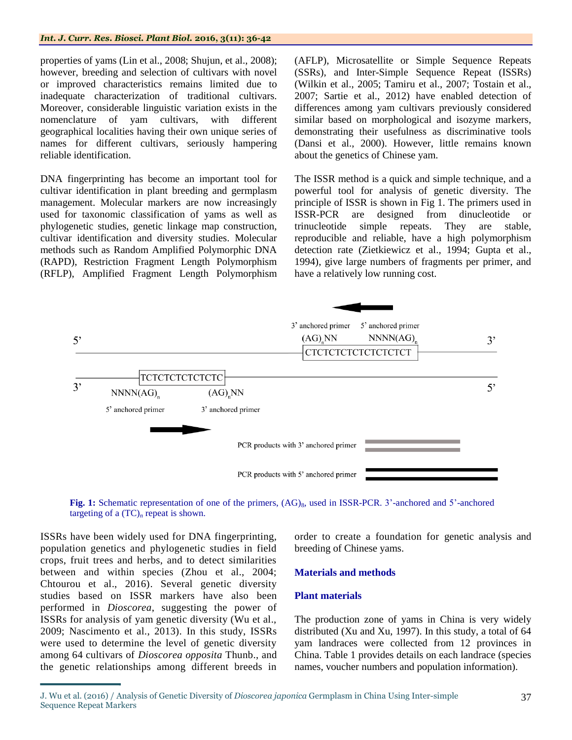properties of yams (Lin et al., 2008; Shujun, et al., 2008); however, breeding and selection of cultivars with novel or improved characteristics remains limited due to inadequate characterization of traditional cultivars. Moreover, considerable linguistic variation exists in the nomenclature of yam cultivars, with different geographical localities having their own unique series of names for different cultivars, seriously hampering reliable identification.

DNA fingerprinting has become an important tool for cultivar identification in plant breeding and germplasm management. Molecular markers are now increasingly used for taxonomic classification of yams as well as phylogenetic studies, genetic linkage map construction, cultivar identification and diversity studies. Molecular methods such as Random Amplified Polymorphic DNA (RAPD), Restriction Fragment Length Polymorphism (RFLP), Amplified Fragment Length Polymorphism

(AFLP), Microsatellite or Simple Sequence Repeats (SSRs), and Inter-Simple Sequence Repeat (ISSRs) (Wilkin et al., 2005; Tamiru et al., 2007; Tostain et al., 2007; Sartie et al., 2012) have enabled detection of differences among yam cultivars previously considered similar based on morphological and isozyme markers, demonstrating their usefulness as discriminative tools (Dansi et al., 2000). However, little remains known about the genetics of Chinese yam.

The ISSR method is a quick and simple technique, and a powerful tool for analysis of genetic diversity. The principle of ISSR is shown in Fig 1. The primers used in ISSR-PCR are designed from dinucleotide or trinucleotide simple repeats. They are stable, reproducible and reliable, have a high polymorphism detection rate (Zietkiewicz et al., 1994; Gupta et al., 1994), give large numbers of fragments per primer, and have a relatively low running cost.





ISSRs have been widely used for DNA fingerprinting, population genetics and phylogenetic studies in field crops, fruit trees and herbs, and to detect similarities between and within species (Zhou et al., 2004; Chtourou et al., 2016). Several genetic diversity studies based on ISSR markers have also been performed in *Dioscorea*, suggesting the power of ISSRs for analysis of yam genetic diversity (Wu et al., 2009; Nascimento et al., 2013). In this study, ISSRs were used to determine the level of genetic diversity among 64 cultivars of *Dioscorea opposita* Thunb., and the genetic relationships among different breeds in

order to create a foundation for genetic analysis and breeding of Chinese yams.

#### **Materials and methods**

#### **Plant materials**

The production zone of yams in China is very widely distributed (Xu and Xu, 1997). In this study, a total of 64 yam landraces were collected from 12 provinces in China. Table 1 provides details on each landrace (species names, voucher numbers and population information).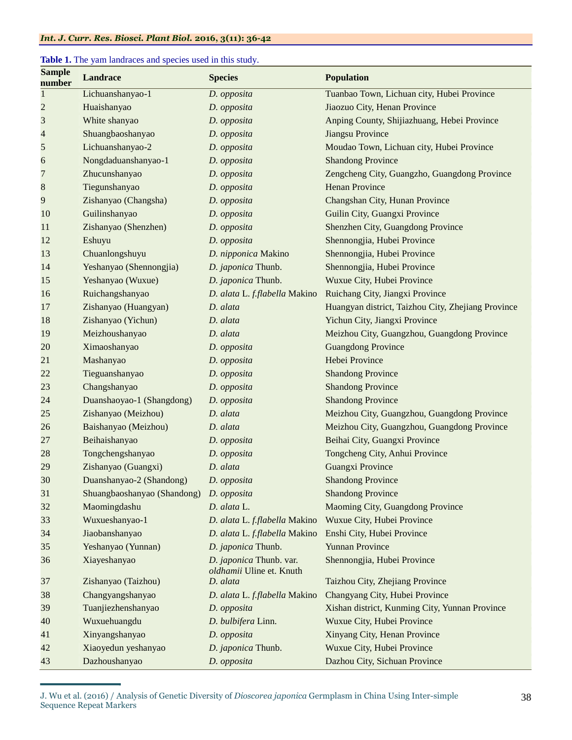#### *Int. J. Curr. Res. Biosci. Plant Biol.* **2016, 3(11): 36-42**

#### **Table 1.** The yam landraces and species used in this study.

| <b>Sample</b><br>number  | <b>Landrace</b>             | <b>Species</b>                                      | <b>Population</b>                                  |
|--------------------------|-----------------------------|-----------------------------------------------------|----------------------------------------------------|
| $\mathbf{1}$             | Lichuanshanyao-1            | D. opposita                                         | Tuanbao Town, Lichuan city, Hubei Province         |
| $\overline{c}$           | Huaishanyao                 | D. opposita                                         | Jiaozuo City, Henan Province                       |
| 3                        | White shanyao               | D. opposita                                         | Anping County, Shijiazhuang, Hebei Province        |
| $\overline{\mathcal{L}}$ | Shuangbaoshanyao            | D. opposita                                         | Jiangsu Province                                   |
| 5                        | Lichuanshanyao-2            | D. opposita                                         | Moudao Town, Lichuan city, Hubei Province          |
| 6                        | Nongdaduanshanyao-1         | D. opposita                                         | <b>Shandong Province</b>                           |
| $\overline{7}$           | Zhucunshanyao               | D. opposita                                         | Zengcheng City, Guangzho, Guangdong Province       |
| $\bf 8$                  | Tiegunshanyao               | D. opposita                                         | <b>Henan Province</b>                              |
| 9                        | Zishanyao (Changsha)        | D. opposita                                         | Changshan City, Hunan Province                     |
| 10                       | Guilinshanyao               | D. opposita                                         | Guilin City, Guangxi Province                      |
| 11                       | Zishanyao (Shenzhen)        | D. opposita                                         | Shenzhen City, Guangdong Province                  |
| 12                       | Eshuyu                      | D. opposita                                         | Shennongjia, Hubei Province                        |
| 13                       | Chuanlongshuyu              | D. nipponica Makino                                 | Shennongjia, Hubei Province                        |
| 14                       | Yeshanyao (Shennongjia)     | D. japonica Thunb.                                  | Shennongjia, Hubei Province                        |
| 15                       | Yeshanyao (Wuxue)           | D. japonica Thunb.                                  | Wuxue City, Hubei Province                         |
| 16                       | Ruichangshanyao             | D. alata L. f.flabella Makino                       | Ruichang City, Jiangxi Province                    |
| 17                       | Zishanyao (Huangyan)        | D. alata                                            | Huangyan district, Taizhou City, Zhejiang Province |
| 18                       | Zishanyao (Yichun)          | D. alata                                            | Yichun City, Jiangxi Province                      |
| 19                       | Meizhoushanyao              | D. alata                                            | Meizhou City, Guangzhou, Guangdong Province        |
| 20                       | Ximaoshanyao                | D. opposita                                         | <b>Guangdong Province</b>                          |
| 21                       | Mashanyao                   | D. opposita                                         | Hebei Province                                     |
| 22                       | Tieguanshanyao              | D. opposita                                         | <b>Shandong Province</b>                           |
| 23                       | Changshanyao                | D. opposita                                         | <b>Shandong Province</b>                           |
| 24                       | Duanshaoyao-1 (Shangdong)   | D. opposita                                         | <b>Shandong Province</b>                           |
| 25                       | Zishanyao (Meizhou)         | D. alata                                            | Meizhou City, Guangzhou, Guangdong Province        |
| 26                       | Baishanyao (Meizhou)        | D. alata                                            | Meizhou City, Guangzhou, Guangdong Province        |
| 27                       | Beihaishanyao               | D. opposita                                         | Beihai City, Guangxi Province                      |
| 28                       | Tongchengshanyao            | D. opposita                                         | Tongcheng City, Anhui Province                     |
| 29                       | Zishanyao (Guangxi)         | D. alata                                            | <b>Guangxi Province</b>                            |
| 30                       | Duanshanyao-2 (Shandong)    | D. opposita                                         | <b>Shandong Province</b>                           |
| 31                       | Shuangbaoshanyao (Shandong) | D. opposita                                         | <b>Shandong Province</b>                           |
| 32                       | Maomingdashu                | D. alata L.                                         | Maoming City, Guangdong Province                   |
| 33                       | Wuxueshanyao-1              | D. alata L. f.flabella Makino                       | Wuxue City, Hubei Province                         |
| 34                       | Jiaobanshanyao              | D. alata L. f.flabella Makino                       | Enshi City, Hubei Province                         |
| 35                       | Yeshanyao (Yunnan)          | D. japonica Thunb.                                  | <b>Yunnan Province</b>                             |
| 36                       | Xiayeshanyao                | D. japonica Thunb. var.<br>oldhamii Uline et. Knuth | Shennongjia, Hubei Province                        |
| 37                       | Zishanyao (Taizhou)         | D. alata                                            | Taizhou City, Zhejiang Province                    |
| 38                       | Changyangshanyao            | D. alata L. f.flabella Makino                       | Changyang City, Hubei Province                     |
| 39                       | Tuanjiezhenshanyao          | D. opposita                                         | Xishan district, Kunming City, Yunnan Province     |
| 40                       | Wuxuehuangdu                | D. bulbifera Linn.                                  | Wuxue City, Hubei Province                         |
| 41                       | Xinyangshanyao              | D. opposita                                         | Xinyang City, Henan Province                       |
| 42                       | Xiaoyedun yeshanyao         | D. japonica Thunb.                                  | Wuxue City, Hubei Province                         |
| 43                       | Dazhoushanyao               | D. opposita                                         | Dazhou City, Sichuan Province                      |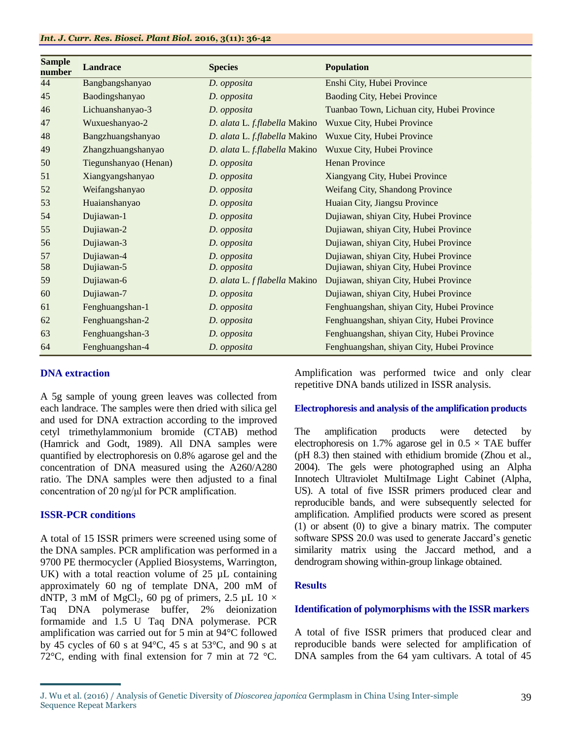#### *Int. J. Curr. Res. Biosci. Plant Biol.* **2016, 3(11): 36-42**

| <b>Sample</b><br>number | <b>Landrace</b>       | <b>Species</b>                | <b>Population</b>                          |
|-------------------------|-----------------------|-------------------------------|--------------------------------------------|
| 44                      | Bangbangshanyao       | D. opposita                   | Enshi City, Hubei Province                 |
| 45                      | Baodingshanyao        | D. opposita                   | Baoding City, Hebei Province               |
| 46                      | Lichuanshanyao-3      | D. opposita                   | Tuanbao Town, Lichuan city, Hubei Province |
| 47                      | Wuxueshanyao-2        | D. alata L. f.flabella Makino | Wuxue City, Hubei Province                 |
| 48                      | Bangzhuangshanyao     | D. alata L. f.flabella Makino | Wuxue City, Hubei Province                 |
| 49                      | Zhangzhuangshanyao    | D. alata L. f.flabella Makino | Wuxue City, Hubei Province                 |
| 50                      | Tiegunshanyao (Henan) | D. opposita                   | <b>Henan Province</b>                      |
| 51                      | Xiangyangshanyao      | D. opposita                   | Xiangyang City, Hubei Province             |
| 52                      | Weifangshanyao        | D. opposita                   | Weifang City, Shandong Province            |
| 53                      | Huaianshanyao         | D. opposita                   | Huaian City, Jiangsu Province              |
| 54                      | Dujiawan-1            | D. opposita                   | Dujiawan, shiyan City, Hubei Province      |
| 55                      | Dujiawan-2            | D. opposita                   | Dujiawan, shiyan City, Hubei Province      |
| 56                      | Dujiawan-3            | D. opposita                   | Dujiawan, shiyan City, Hubei Province      |
| 57                      | Dujiawan-4            | D. opposita                   | Dujiawan, shiyan City, Hubei Province      |
| 58                      | Dujiawan-5            | D. opposita                   | Dujiawan, shiyan City, Hubei Province      |
| 59                      | Dujiawan-6            | D. alata L. f flabella Makino | Dujiawan, shiyan City, Hubei Province      |
| 60                      | Dujiawan-7            | D. opposita                   | Dujiawan, shiyan City, Hubei Province      |
| 61                      | Fenghuangshan-1       | D. opposita                   | Fenghuangshan, shiyan City, Hubei Province |
| 62                      | Fenghuangshan-2       | D. opposita                   | Fenghuangshan, shiyan City, Hubei Province |
| 63                      | Fenghuangshan-3       | D. opposita                   | Fenghuangshan, shiyan City, Hubei Province |
| 64                      | Fenghuangshan-4       | D. opposita                   | Fenghuangshan, shiyan City, Hubei Province |

#### **DNA extraction**

A 5g sample of young green leaves was collected from each landrace. The samples were then dried with silica gel and used for DNA extraction according to the improved cetyl trimethylammonium bromide (CTAB) method (Hamrick and Godt, 1989). All DNA samples were quantified by electrophoresis on 0.8% agarose gel and the concentration of DNA measured using the A260/A280 ratio. The DNA samples were then adjusted to a final concentration of 20 ng/μl for PCR amplification.

#### **ISSR-PCR conditions**

A total of 15 ISSR primers were screened using some of the DNA samples. PCR amplification was performed in a 9700 PE thermocycler (Applied Biosystems, Warrington, UK) with a total reaction volume of  $25 \mu L$  containing approximately 60 ng of template DNA, 200 mM of dNTP, 3 mM of MgCl<sub>2</sub>, 60 pg of primers, 2.5 µL 10  $\times$ Taq DNA polymerase buffer, 2% deionization formamide and 1.5 U Taq DNA polymerase. PCR amplification was carried out for 5 min at 94°C followed by 45 cycles of 60 s at 94°C, 45 s at 53°C, and 90 s at 72°C, ending with final extension for 7 min at 72 °C. Amplification was performed twice and only clear repetitive DNA bands utilized in ISSR analysis.

#### **Electrophoresis and analysis of the amplification products**

The amplification products were detected by electrophoresis on 1.7% agarose gel in  $0.5 \times$  TAE buffer (pH 8.3) then stained with ethidium bromide (Zhou et al., 2004). The gels were photographed using an Alpha Innotech Ultraviolet MultiImage Light Cabinet (Alpha, US). A total of five ISSR primers produced clear and reproducible bands, and were subsequently selected for amplification. Amplified products were scored as present (1) or absent (0) to give a binary matrix. The computer software SPSS 20.0 was used to generate Jaccard's genetic similarity matrix using the Jaccard method, and a dendrogram showing within-group linkage obtained.

#### **Results**

#### **Identification of polymorphisms with the ISSR markers**

A total of five ISSR primers that produced clear and reproducible bands were selected for amplification of DNA samples from the 64 yam cultivars. A total of 45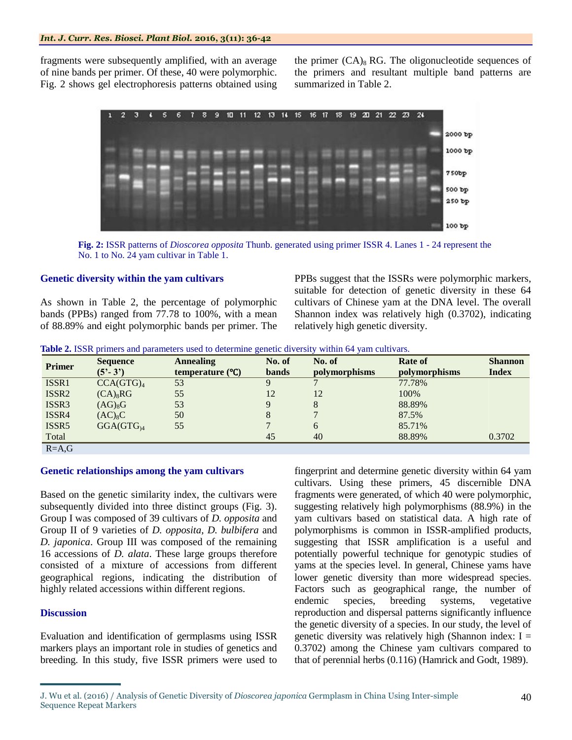fragments were subsequently amplified, with an average of nine bands per primer. Of these, 40 were polymorphic. Fig. 2 shows gel electrophoresis patterns obtained using

the primer  $(CA)_{8}$  RG. The oligonucleotide sequences of the primers and resultant multiple band patterns are summarized in Table 2.



**Fig. 2:** ISSR patterns of *Dioscorea opposita* Thunb. generated using primer ISSR 4. Lanes 1 - 24 represent the No. 1 to No. 24 yam cultivar in Table 1.

#### **Genetic diversity within the yam cultivars**

As shown in Table 2, the percentage of polymorphic bands (PPBs) ranged from 77.78 to 100%, with a mean of 88.89% and eight polymorphic bands per primer. The PPBs suggest that the ISSRs were polymorphic markers, suitable for detection of genetic diversity in these 64 cultivars of Chinese yam at the DNA level. The overall Shannon index was relatively high (0.3702), indicating relatively high genetic diversity.

|  |  |  | Table 2. ISSR primers and parameters used to determine genetic diversity within 64 yam cultivars. |  |  |  |
|--|--|--|---------------------------------------------------------------------------------------------------|--|--|--|
|--|--|--|---------------------------------------------------------------------------------------------------|--|--|--|

| <b>Primer</b>     | <b>Sequence</b>       | <b>Annealing</b>  | No. of       | No. of        | Rate of       | <b>Shannon</b> |
|-------------------|-----------------------|-------------------|--------------|---------------|---------------|----------------|
|                   | $(5'-3')$             | temperature $(C)$ | <b>bands</b> | polymorphisms | polymorphisms | <b>Index</b>   |
| ISSR1             | CCA(GTG) <sub>4</sub> | 53                | 9            |               | 77.78%        |                |
| ISSR <sub>2</sub> | $(CA)_{8}RG$          | 55                | 12           | 12            | 100%          |                |
| ISSR <sub>3</sub> | $(AG)_{8}G$           | 53                | 9            | 8             | 88.89%        |                |
| ISSR4             | $(AC)_8C$             | 50                | 8            |               | 87.5%         |                |
| ISSR <sub>5</sub> | $GGA(GTG)_{4}$        | 55                | −            | 6             | 85.71%        |                |
| Total             |                       |                   | 45           | 40            | 88.89%        | 0.3702         |
| $R - \Delta G$    |                       |                   |              |               |               |                |

R=A,G

#### **Genetic relationships among the yam cultivars**

Based on the genetic similarity index, the cultivars were subsequently divided into three distinct groups (Fig. 3). Group I was composed of 39 cultivars of *D. opposita* and Group II of 9 varieties of *D. opposita*, *D. bulbifera* and *D. japonica*. Group III was composed of the remaining 16 accessions of *D. alata*. These large groups therefore consisted of a mixture of accessions from different geographical regions, indicating the distribution of highly related accessions within different regions.

#### **Discussion**

Evaluation and identification of germplasms using ISSR markers plays an important role in studies of genetics and breeding. In this study, five ISSR primers were used to fingerprint and determine genetic diversity within 64 yam cultivars. Using these primers, 45 discernible DNA fragments were generated, of which 40 were polymorphic, suggesting relatively high polymorphisms (88.9%) in the yam cultivars based on statistical data. A high rate of polymorphisms is common in ISSR-amplified products, suggesting that ISSR amplification is a useful and potentially powerful technique for genotypic studies of yams at the species level. In general, Chinese yams have lower genetic diversity than more widespread species. Factors such as geographical range, the number of endemic species, breeding systems, vegetative reproduction and dispersal patterns significantly influence the genetic diversity of a species. In our study, the level of genetic diversity was relatively high (Shannon index:  $I =$ 0.3702) among the Chinese yam cultivars compared to that of perennial herbs (0.116) (Hamrick and Godt, 1989).

J. Wu et al. (2016) / Analysis of Genetic Diversity of *Dioscorea japonica* Germplasm in China Using Inter-simple Sequence Repeat Markers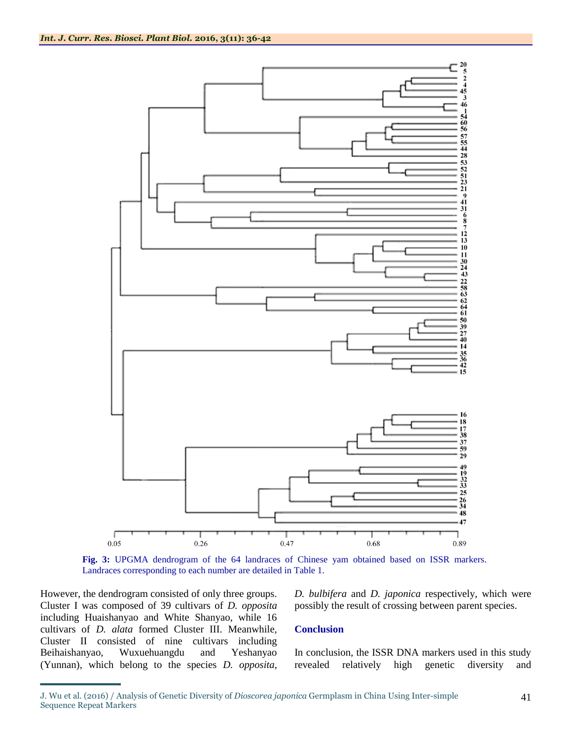

**Fig. 3:** UPGMA dendrogram of the 64 landraces of Chinese yam obtained based on ISSR markers. Landraces corresponding to each number are detailed in Table 1.

However, the dendrogram consisted of only three groups. Cluster I was composed of 39 cultivars of *D. opposita* including Huaishanyao and White Shanyao, while 16 cultivars of *D. alata* formed Cluster III. Meanwhile, Cluster II consisted of nine cultivars including Beihaishanyao, Wuxuehuangdu and Yeshanyao (Yunnan), which belong to the species *D. opposita*,

*D. bulbifera* and *D. japonica* respectively, which were possibly the result of crossing between parent species.

#### **Conclusion**

In conclusion, the ISSR DNA markers used in this study revealed relatively high genetic diversity and